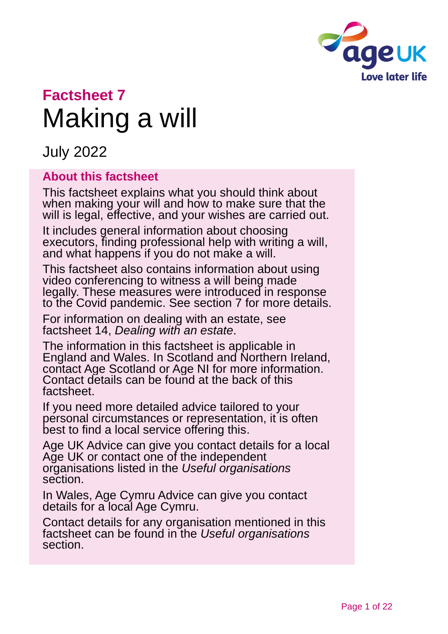

# **Factsheet 7** Making a will

July 2022

#### **About this factsheet**

This factsheet explains what you should think about when making your will and how to make sure that the will is legal, effective, and your wishes are carried out.

It includes general information about choosing executors, finding professional help with writing a will, and what happens if you do not make a will.

This factsheet also contains information about using video conferencing to witness a will being made legally. These measures were introduced in response to the Covid pandemic. See [section 7](#page-11-0) for more details.

For information on dealing with an estate, see factsheet 14, *[Dealing with an estate](https://www.ageuk.org.uk/globalassets/age-uk/documents/factsheets/fs14_dealing_with_an_estate_fcs.pdf?dtrk=true)*.

The information in this factsheet is applicable in England and Wales. In Scotland and Northern Ireland, contact [Age Scotland](#page-20-0) or [Age NI](#page-20-1) for more information. Contact details can be found at the back of this factsheet.

If you need more detailed advice tailored to your personal circumstances or representation, it is often best to find a local service offering this.

[Age UK Advice](#page-20-2) can give you contact details for a local Age UK or contact one of the independent organisations listed in the *[Useful organisations](#page-18-0)* section.

In Wales, [Age Cymru Advice](#page-20-3) can give you contact details for a local Age Cymru.

Contact details for any organisation mentioned in this factsheet can be found in the *[Useful organisations](#page-18-0)* section.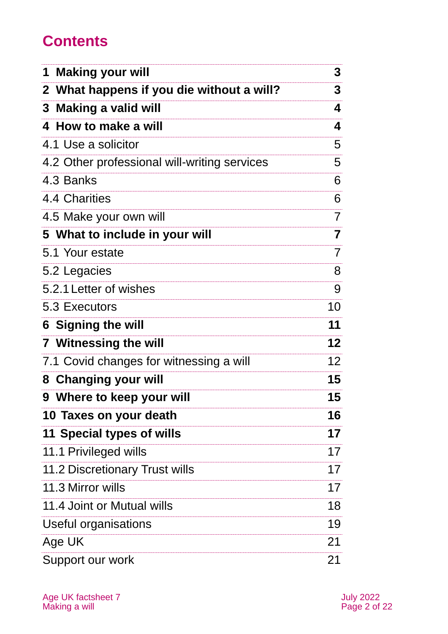## **Contents**

| <b>Making your will</b>                      | 3               |
|----------------------------------------------|-----------------|
| 2 What happens if you die without a will?    | 3               |
| 3 Making a valid will                        | 4               |
| 4 How to make a will                         | 4               |
| 4.1 Use a solicitor                          | 5               |
| 4.2 Other professional will-writing services | 5               |
| 4.3 Banks                                    | 6               |
| 4.4 Charities                                | 6               |
| 4.5 Make your own will                       | 7               |
| 5 What to include in your will               | 7               |
| 5.1 Your estate                              | 7               |
| 5.2 Legacies                                 | 8               |
| 5.2.1 Letter of wishes                       | 9               |
| 5.3 Executors                                | 10              |
| <b>6 Signing the will</b>                    | 11              |
| <b>7 Witnessing the will</b>                 | 12              |
| 7.1 Covid changes for witnessing a will      | 12 <sup>2</sup> |
| 8 Changing your will                         | 15              |
| 9 Where to keep your will                    | 15              |
| 10 Taxes on your death                       | 16              |
| 11 Special types of wills                    | 17              |
| 11.1 Privileged wills                        | 17              |
| <b>11.2 Discretionary Trust wills</b>        | 17              |
| 11.3 Mirror wills                            | 17              |
| 11.4 Joint or Mutual wills                   | 18              |
| Useful organisations                         | 19              |
| Age UK                                       | 21              |
| Support our work                             | 21              |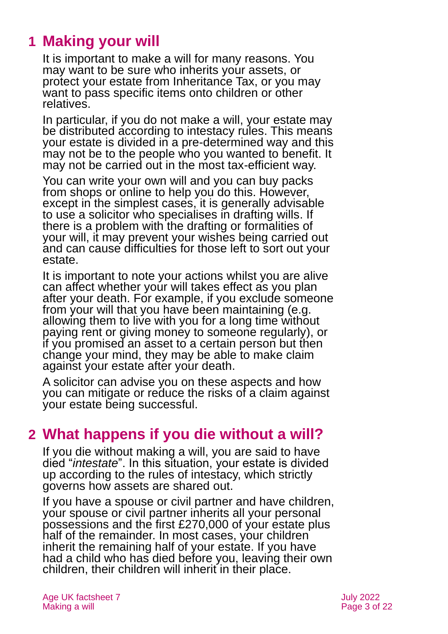## <span id="page-2-0"></span>**1 Making your will**

It is important to make a will for many reasons. You may want to be sure who inherits your assets, or protect your estate from Inheritance Tax, or you may want to pass specific items onto children or other relatives.

In particular, if you do not make a will, your estate may be distributed according to intestacy rules. This means your estate is divided in a pre-determined way and this may not be to the people who you wanted to benefit. It may not be carried out in the most tax-efficient way.

You can write your own will and you can buy packs from shops or online to help you do this. However, except in the simplest cases, it is generally advisable to use a solicitor who specialises in drafting wills. If there is a problem with the drafting or formalities of your will, it may prevent your wishes being carried out and can cause difficulties for those left to sort out your estate.

It is important to note your actions whilst you are alive can affect whether your will takes effect as you plan after your death. For example, if you exclude someone from your will that you have been maintaining (e.g. allowing them to live with you for a long time without paying rent or giving money to someone regularly), or if you promised an asset to a certain person but then change your mind, they may be able to make claim against your estate after your death.

A solicitor can advise you on these aspects and how you can mitigate or reduce the risks of a claim against your estate being successful.

## <span id="page-2-1"></span>**2 What happens if you die without a will?**

If you die without making a will, you are said to have died "*intestate*". In this situation, your estate is divided up according to the rules of intestacy, which strictly governs how assets are shared out.

If you have a spouse or civil partner and have children, your spouse or civil partner inherits all your personal possessions and the first £270,000 of your estate plus half of the remainder. In most cases, your children inherit the remaining half of your estate. If you have had a child who has died before you, leaving their own children, their children will inherit in their place.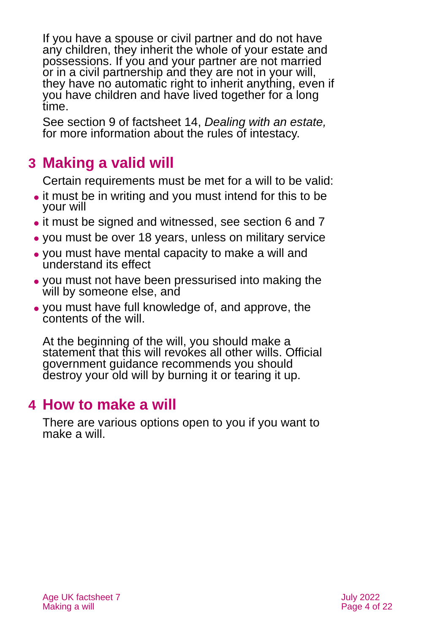If you have a spouse or civil partner and do not have any children, they inherit the whole of your estate and possessions. If you and your partner are not married or in a civil partnership and they are not in your will, they have no automatic right to inherit anything, even if you have children and have lived together for a long time.

See section 9 of factsheet 14, *[Dealing with an estate,](https://www.ageuk.org.uk/globalassets/age-uk/documents/factsheets/fs14_dealing_with_an_estate_fcs.pdf?dtrk=true)* for more information about the rules of intestacy.

## <span id="page-3-0"></span>**3 Making a valid will**

Certain requirements must be met for a will to be valid:

- it must be in writing and you must intend for this to be your will
- ⚫ it must be signed and witnessed, see [section 6](#page-10-0) [and 7](#page-11-0)
- ⚫ you must be over 18 years, unless on military service
- ⚫ you must have mental capacity to make a will and understand its effect
- ⚫ you must not have been pressurised into making the will by someone else, and
- ⚫ you must have full knowledge of, and approve, the contents of the will.

At the beginning of the will, you should make a statement that this will revokes all other wills. Official government guidance recommends you should destroy your old will by burning it or tearing it up.

## <span id="page-3-1"></span>**4 How to make a will**

There are various options open to you if you want to make a will.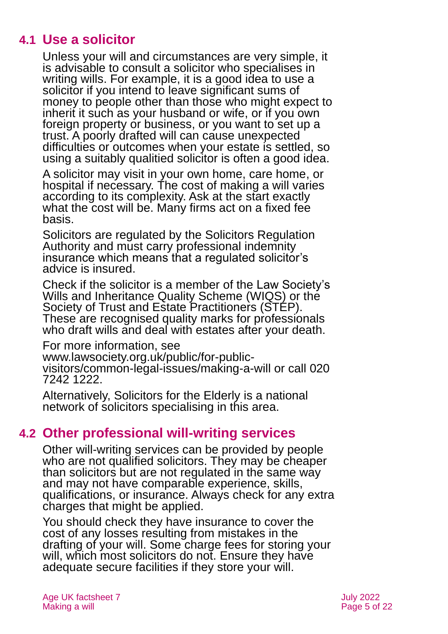## **4.1 Use a solicitor**

Unless your will and circumstances are very simple, it is advisable to consult a solicitor who specialises in writing wills. For example, it is a good idea to use a solicitor if you intend to leave significant sums of money to people other than those who might expect to inherit it such as your husband or wife, or if you own foreign property or business, or you want to set up a trust. A poorly drafted will can cause unexpected difficulties or outcomes when your estate is settled, so using a suitably qualitied solicitor is often a good idea.

A solicitor may visit in your own home, care home, or hospital if necessary. The cost of making a will varies according to its complexity. Ask at the start exactly what the cost will be. Many firms act on a fixed fee basis.

Solicitors are regulated by the [Solicitors Regulation](https://www.sra.org.uk/) [Authority](https://www.sra.org.uk/) and must carry professional indemnity insurance which means that a regulated solicitor's advice is insured.

Check if the solicitor is a member of the [Law Society's](https://www.lawsociety.org.uk/topics/firm-accreditations/wills-and-inheritance-quality-scheme)  [Wills and Inheritance Quality Scheme](https://www.lawsociety.org.uk/topics/firm-accreditations/wills-and-inheritance-quality-scheme) (WIQS) or the [Society of Trust and Estate Practitioners](https://www.step.org/) (STEP). These are recognised quality marks for professionals who draft wills and deal with estates after your death.

For more information, see

[www.lawsociety.org.uk/public/for-public-](http://www.lawsociety.org.uk/public/for-public-visitors/common-legal-issues/making-a-will)

[visitors/common-legal-issues/making-a-will](http://www.lawsociety.org.uk/public/for-public-visitors/common-legal-issues/making-a-will) or call 020 7242 1222.

Alternatively, [Solicitors for the Elderly](https://sfe.legal/) is a national network of solicitors specialising in this area.

### **4.2 Other professional will-writing services**

Other will-writing services can be provided by people who are not qualified solicitors. They may be cheaper than solicitors but are not regulated in the same way and may not have comparable experience, skills, qualifications, or insurance. Always check for any extra charges that might be applied.

You should check they have insurance to cover the cost of any losses resulting from mistakes in the drafting of your will. Some charge fees for storing your will, which most solicitors do not. Ensure they have adequate secure facilities if they store your will.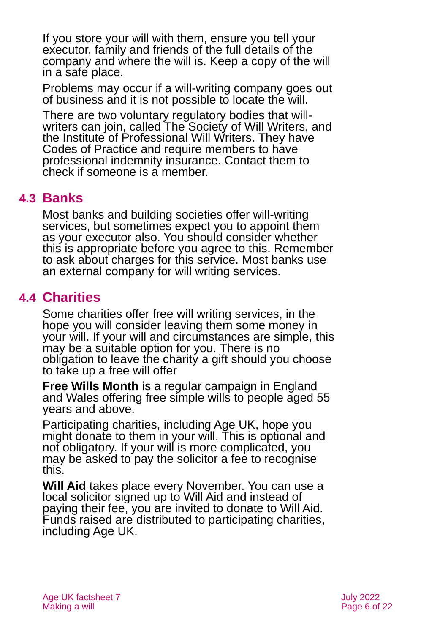If you store your will with them, ensure you tell your executor, family and friends of the full details of the company and where the will is. Keep a copy of the will in a safe place.

Problems may occur if a will-writing company goes out of business and it is not possible to locate the will.

There are two voluntary regulatory bodies that will-writers can join, called [The Society of Will Writers,](https://www.willwriters.com/) and the [Institute of Professional Will Writers.](https://www.ipw.org.uk/) They have Codes of Practice and require members to have professional indemnity insurance. Contact them to check if someone is a member.

## **4.3 Banks**

Most banks and building societies offer will-writing services, but sometimes expect you to appoint them as your executor also. You should consider whether this is appropriate before you agree to this. Remember to ask about charges for this service. Most banks use an external company for will writing services.

## **4.4 Charities**

Some charities offer free will writing services, in the hope you will consider leaving them some money in your will. If your will and circumstances are simple, this may be a suitable option for you. There is no obligation to leave the charity a gift should you choose to take up a free will offer

**[Free Wills Month](https://freewillsmonth.org.uk/)** is a regular campaign in England and Wales offering free simple wills to people aged 55 years and above.

Participating charities, including Age UK, hope you might donate to them in your will. This is optional and not obligatory. If your will is more complicated, you may be asked to pay the solicitor a fee to recognise this.

**[Will Aid](http://www.willaid.org.uk/)** takes place every November. You can use a local solicitor signed up to Will Aid and instead of paying their fee, you are invited to donate to Will [Aid.](https://www.willaid.org.uk/) Funds raised are distributed to participating charities, including Age UK.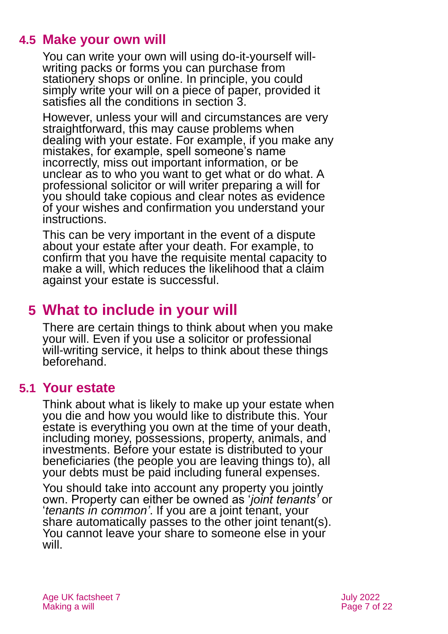## **4.5 Make your own will**

You can write your own will using do-it-yourself willwriting packs or forms you can purchase from stationery shops or online. In principle, you could simply write your will on a piece of paper, provided it satisfies all the conditions in [section 3.](#page-3-0)

However, unless your will and circumstances are very straightforward, this may cause problems when dealing with your estate. For example, if you make any mistakes, for example, spell someone's name incorrectly, miss out important information, or be unclear as to who you want to get what or do what. A professional solicitor or will writer preparing a will for you should take copious and clear notes as evidence of your wishes and confirmation you understand your instructions.

This can be very important in the event of a dispute about your estate after your death. For example, to confirm that you have the requisite mental capacity to make a will, which reduces the likelihood that a claim against your estate is successful.

## <span id="page-6-0"></span>**5 What to include in your will**

There are certain things to think about when you make your will. Even if you use a solicitor or professional will-writing service, it helps to think about these things beforehand.

#### **5.1 Your estate**

Think about what is likely to make up your estate when you die and how you would like to distribute this. Your estate is everything you own at the time of your death, including money, possessions, property, animals, and investments. Before your estate is distributed to your beneficiaries (the people you are leaving things to), all your debts must be paid including funeral expenses.

You should take into account any property you jointly own. Property can either be owned as '*joint tenants'* or '*tenants in common'*. If you are a joint tenant, your share automatically passes to the other joint tenant(s). You cannot leave your share to someone else in your will.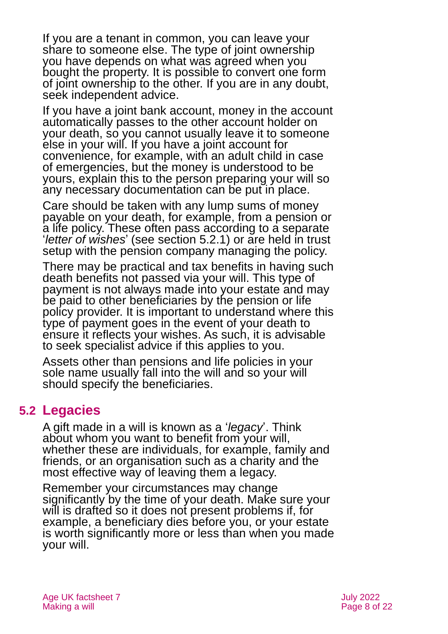If you are a tenant in common, you can leave your share to someone else. The type of joint ownership you have depends on what was agreed when you bought the property. It is possible to convert one form of joint ownership to the other. If you are in any doubt, seek independent advice.

If you have a joint bank account, money in the account automatically passes to the other account holder on your death, so you cannot usually leave it to someone else in your will. If you have a joint account for convenience, for example, with an adult child in case of emergencies, but the money is understood to be yours, explain this to the person preparing your will so any necessary documentation can be put in place.

Care should be taken with any lump sums of money payable on your death, for example, from a pension or a life policy. These often pass according to a separate '*letter of wishes*' (see [section 5.2.1\)](#page-8-0) or are held in trust setup with the pension company managing the policy.

There may be practical and tax benefits in having such death benefits not passed via your will. This type of payment is not always made into your estate and may be paid to other beneficiaries by the pension or life policy provider. It is important to understand where this type of payment goes in the event of your death to ensure it reflects your wishes. As such, it is advisable to seek specialist advice if this applies to you.

Assets other than pensions and life policies in your sole name usually fall into the will and so your will should specify the beneficiaries.

## **5.2 Legacies**

A gift made in a will is known as a '*legacy*'. Think about whom you want to benefit from your will, whether these are individuals, for example, family and friends, or an organisation such as a charity and the most effective way of leaving them a legacy.

Remember your circumstances may change significantly by the time of your death. Make sure your will is drafted so it does not present problems if, for example, a beneficiary dies before you, or your estate is worth significantly more or less than when you made your will.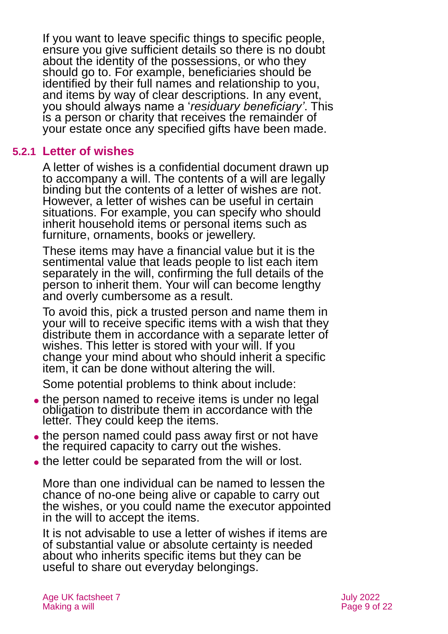If you want to leave specific things to specific people, ensure you give sufficient details so there is no doubt about the identity of the possessions, or who they should go to. For example, beneficiaries should be identified by their full names and relationship to you, and items by way of clear descriptions. In any event, you should always name a '*residuary beneficiary'*. This is a person or charity that receives the remainder of your estate once any specified gifts have been made.

#### **5.2.1 Letter of wishes**

<span id="page-8-0"></span>A letter of wishes is a confidential document drawn up to accompany a will. The contents of a will are legally binding but the contents of a letter of wishes are not. However, a letter of wishes can be useful in certain situations. For example, you can specify who should inherit household items or personal items such as furniture, ornaments, books or jewellery.

These items may have a financial value but it is the sentimental value that leads people to list each item separately in the will, confirming the full details of the person to inherit them. Your will can become lengthy and overly cumbersome as a result.

To avoid this, pick a trusted person and name them in your will to receive specific items with a wish that they distribute them in accordance with a separate letter of wishes. This letter is stored with your will. If you change your mind about who should inherit a specific item, it can be done without altering the will.

Some potential problems to think about include:

- the person named to receive items is under no legal obligation to distribute them in accordance with the letter. They could keep the items.
- the person named could pass away first or not have the required capacity to carry out the wishes.
- ⚫ the letter could be separated from the will or lost.

More than one individual can be named to lessen the chance of no-one being alive or capable to carry out the wishes, or you could name the executor appointed in the will to accept the items.

It is not advisable to use a letter of wishes if items are of substantial value or absolute certainty is needed about who inherits specific items but they can be useful to share out everyday belongings.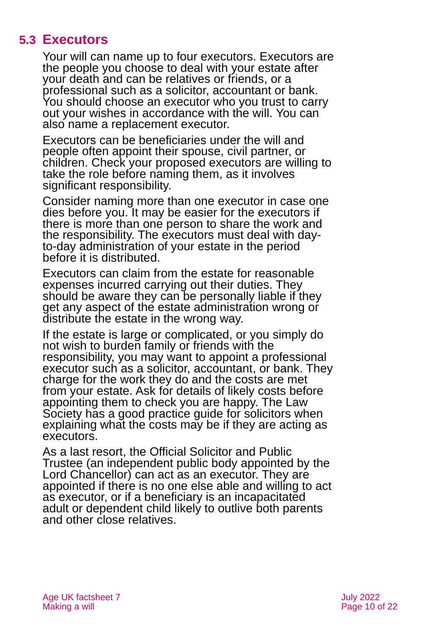## **5.3 Executors**

Your will can name up to four executors. Executors are the people you choose to deal with your estate after your death and can be relatives or friends, or a professional such as a solicitor, accountant or bank. You should choose an executor who you trust to carry out your wishes in accordance with the will. You can also name a replacement executor.

Executors can be beneficiaries under the will and people often appoint their spouse, civil partner, or children. Check your proposed executors are willing to take the role before naming them, as it involves significant responsibility.

Consider naming more than one executor in case one dies before you. It may be easier for the executors if there is more than one person to share the work and the responsibility. The executors must deal with dayto-day administration of your estate in the period before it is distributed.

Executors can claim from the estate for reasonable expenses incurred carrying out their duties. They should be aware they can be personally liable if they get any aspect of the estate administration wrong or distribute the estate in the wrong way.

If the estate is large or complicated, or you simply do not wish to burden family or friends with the responsibility, you may want to appoint a professional executor such as a solicitor, accountant, or bank. They charge for the work they do and the costs are met from your estate. Ask for details of likely costs before appointing them to check you are happy. The Law Society has a good practice guide for solicitors when explaining what the costs may be if they are acting as executors.

As a last resort, the Official Solicitor and Public Trustee (an independent public body appointed by the Lord Chancellor) can act as an executor. They are appointed if there is no one else able and willing to act as executor, or if a beneficiary is an incapacitated adult or dependent child likely to outlive both parents and other close relatives.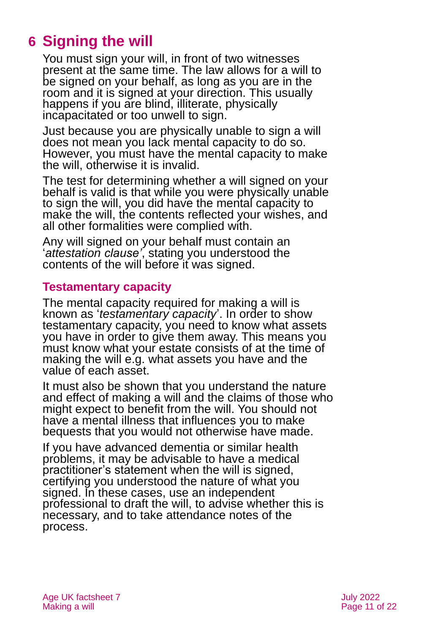## <span id="page-10-0"></span>**6 Signing the will**

You must sign your will, in front of two witnesses present at the same time. The law allows for a will to be signed on your behalf, as long as you are in the room and it is signed at your direction. This usually happens if you are blind, illiterate, physically incapacitated or too unwell to sign.

Just because you are physically unable to sign a will does not mean you lack mental capacity to do so. However, you must have the mental capacity to make the will, otherwise it is invalid.

The test for determining whether a will signed on your behalf is valid is that while you were physically unable to sign the will, you did have the mental capacity to make the will, the contents reflected your wishes, and all other formalities were complied with.

Any will signed on your behalf must contain an '*attestation clause'*, stating you understood the contents of the will before it was signed.

#### **Testamentary capacity**

The mental capacity required for making a will is known as '*testamentary capacity*'. In order to show testamentary capacity, you need to know what assets you have in order to give them away. This means you must know what your estate consists of at the time of making the will e.g. what assets you have and the value of each asset.

It must also be shown that you understand the nature and effect of making a will and the claims of those who might expect to benefit from the will. You should not have a mental illness that influences you to make bequests that you would not otherwise have made.

If you have advanced dementia or similar health problems, it may be advisable to have a medical practitioner's statement when the will is signed, certifying you understood the nature of what you signed. In these cases, use an independent professional to draft the will, to advise whether this is necessary, and to take attendance notes of the process.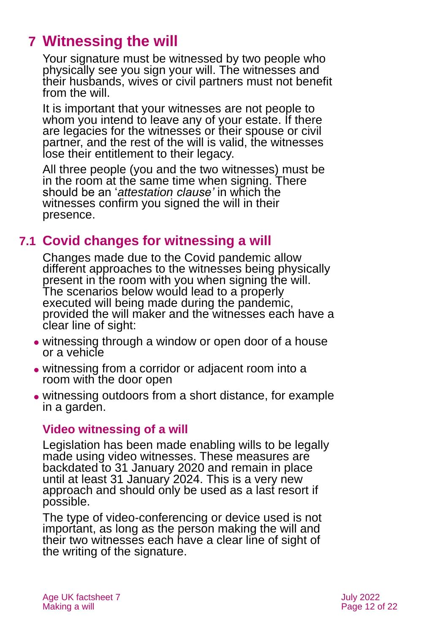## <span id="page-11-0"></span>**7 Witnessing the will**

Your signature must be witnessed by two people who physically see you sign your will. The witnesses and their husbands, wives or civil partners must not benefit from the will.

It is important that your witnesses are not people to whom you intend to leave any of your estate. If there are legacies for the witnesses or their spouse or civil partner, and the rest of the will is valid, the witnesses lose their entitlement to their legacy.

All three people (you and the two witnesses) must be in the room at the same time when signing. There should be an '*attestation clause'* in which the witnesses confirm you signed the will in their presence.

## **7.1 Covid changes for witnessing a will**

Changes made due to the Covid pandemic allow different approaches to the witnesses being physically present in the room with you when signing the will. The scenarios below would lead to a properly executed will being made during the pandemic, provided the will maker and the witnesses each have a clear line of sight:

- ⚫ witnessing through a window or open door of a house or a vehicle
- ⚫ witnessing from a corridor or adjacent room into a room with the door open
- ⚫ witnessing outdoors from a short distance, for example in a garden.

#### **Video witnessing of a will**

Legislation has been made enabling wills to be legally made using video witnesses. These measures are backdated to 31 January 2020 and remain in place until at least 31 January 2024. This is a very new approach and should only be used as a last resort if possible.

The type of video-conferencing or device used is not important, as long as the person making the will and their two witnesses each have a clear line of sight of the writing of the signature.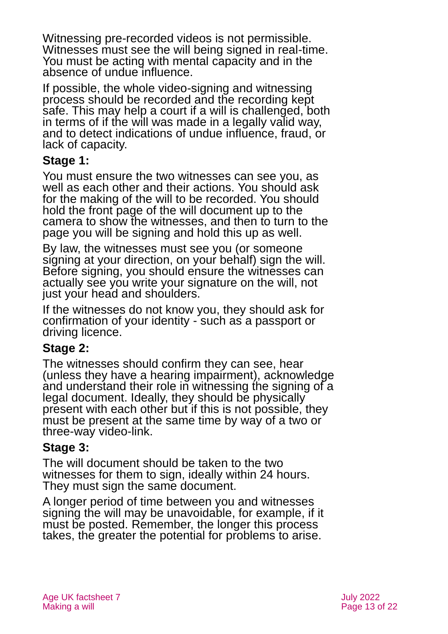Witnessing pre-recorded videos is not permissible. Witnesses must see the will being signed in real-time. You must be acting with mental capacity and in the absence of undue influence.

If possible, the whole video-signing and witnessing process should be recorded and the recording kept safe. This may help a court if a will is challenged, both in terms of if the will was made in a legally valid way, and to detect indications of undue influence, fraud, or lack of capacity.

#### **Stage 1:**

You must ensure the two witnesses can see you, as well as each other and their actions. You should ask for the making of the will to be recorded. You should hold the front page of the will document up to the camera to show the witnesses, and then to turn to the page you will be signing and hold this up as well.

By law, the witnesses must see you (or someone signing at your direction, on your behalf) sign the will. Before signing, you should ensure the witnesses can actually see you write your signature on the will, not just your head and shoulders.

If the witnesses do not know you, they should ask for confirmation of your identity - such as a passport or driving licence.

### **Stage 2:**

The witnesses should confirm they can see, hear (unless they have a hearing impairment), acknowledge and understand their role in witnessing the signing of a legal document. Ideally, they should be physically present with each other but if this is not possible, they must be present at the same time by way of a two or three-way video-link.

### **Stage 3:**

The will document should be taken to the two witnesses for them to sign, ideally within 24 hours. They must sign the same document.

A longer period of time between you and witnesses signing the will may be unavoidable, for example, if it must be posted. Remember, the longer this process takes, the greater the potential for problems to arise.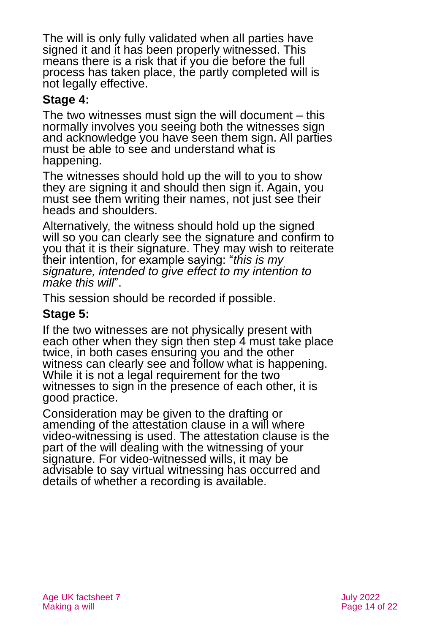The will is only fully validated when all parties have signed it and it has been properly witnessed. This means there is a risk that if you die before the full process has taken place, the partly completed will is not legally effective.

#### **Stage 4:**

The two witnesses must sign the will document – this normally involves you seeing both the witnesses sign and acknowledge you have seen them sign. All parties must be able to see and understand what is happening.

The witnesses should hold up the will to you to show they are signing it and should then sign it. Again, you must see them writing their names, not just see their heads and shoulders.

Alternatively, the witness should hold up the signed will so you can clearly see the signature and confirm to you that it is their signature. They may wish to reiterate their intention, for example saying: "*this is my signature, intended to give effect to my intention to make this will*".

This session should be recorded if possible.

#### **Stage 5:**

If the two witnesses are not physically present with each other when they sign then step 4 must take place twice, in both cases ensuring you and the other witness can clearly see and follow what is happening. While it is not a legal requirement for the two witnesses to sign in the presence of each other, it is good practice.

Consideration may be given to the drafting or amending of the attestation clause in a will where video-withessing is used. The attestation clause is the part of the will dealing with the witnessing of your signature. For video-witnessed wills, it may be advisable to say virtual witnessing has occurred and details of whether a recording is available.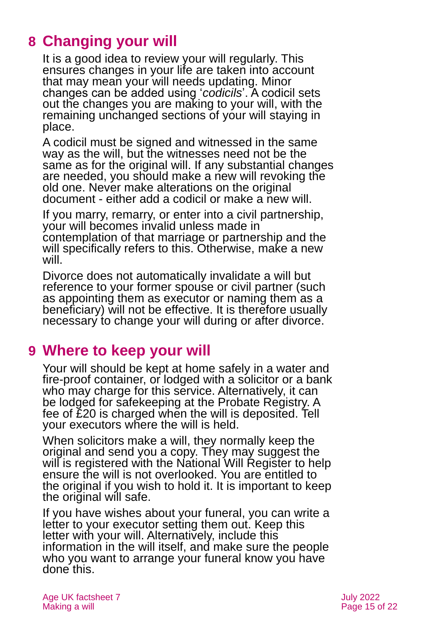## <span id="page-14-0"></span>**8 Changing your will**

It is a good idea to review your will regularly. This ensures changes in your life are taken into account that may mean your will needs updating. Minor changes can be added using '*codicils*'. A codicil sets out the changes you are making to your will, with the remaining unchanged sections of your will staying in place.

A codicil must be signed and witnessed in the same way as the will, but the witnesses need not be the same as for the original will. If any substantial changes are needed, you should make a new will revoking the old one. Never make alterations on the original document - either add a codicil or make a new will.

If you marry, remarry, or enter into a civil partnership, your will becomes invalid unless made in contemplation of that marriage or partnership and the will specifically refers to this. Otherwise, make a new will.

Divorce does not automatically invalidate a will but reference to your former spouse or civil partner (such as appointing them as executor or naming them as a beneficiary) will not be effective. It is therefore usually necessary to change your will during or after divorce.

## <span id="page-14-1"></span>**9 Where to keep your will**

Your will should be kept at home safely in a water and fire-proof container, or lodged with a solicitor or a bank who may charge for this service. Alternatively, it can be lodged for safekeeping at the Probate Registry. A fee of £20 is charged when the will is deposited. Tell your executors where the will is held.

When solicitors make a will, they normally keep the original and send you a copy. They may suggest the will is registered with [the National Will Register](https://www.nationalwillregister.co.uk/) to help ensure the will is not overlooked. You are entitled to the original if you wish to hold it. It is important to keep the original will safe.

If you have wishes about your funeral, you can write a letter to your executor setting them out. Keep this letter with your will. Alternatively, include this information in the will itself, and make sure the people who you want to arrange your funeral know you have done this.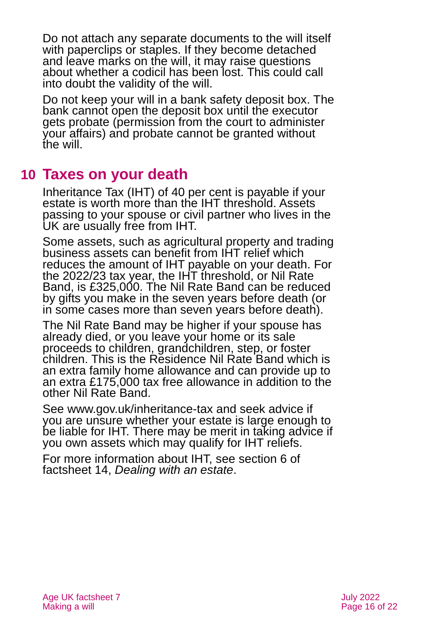Do not attach any separate documents to the will itself with paperclips or staples. If they become detached and leave marks on the will, it may raise questions about whether a codicil has been lost. This could call into doubt the validity of the will.

Do not keep your will in a bank safety deposit box. The bank cannot open the deposit box until the executor gets probate (permission from the court to administer your affairs) and probate cannot be granted without the will.

## <span id="page-15-0"></span>**10 Taxes on your death**

Inheritance Tax (IHT) of 40 per cent is payable if your estate is worth more than the IHT threshold. Assets passing to your spouse or civil partner who lives in the UK are usually free from IHT.

Some assets, such as agricultural property and trading business assets can benefit from IHT relief which reduces the amount of IHT payable on your death. For the 2022/23 tax year, the IHT threshold, or Nil Rate Band, is £325,000. The Nil Rate Band can be reduced by gifts you make in the seven years before death (or in some cases more than seven years before death).

The Nil Rate Band may be higher if your spouse has already died, or you leave your home or its sale proceeds to children, grandchildren, step, or foster children. This is the Residence Nil Rate Band which is an extra family home allowance and can provide up to an extra £175,000 tax free allowance in addition to the other Nil Rate Band.

See [www.gov.uk/inheritance-tax](http://www.gov.uk/inheritance-tax) and seek advice if you are unsure whether your estate is large enough to be liable for IHT. There may be merit in taking advice if you own assets which may qualify for IHT reliefs.

For more information about IHT, see section 6 of factsheet 14, *[Dealing with an estate](https://www.ageuk.org.uk/globalassets/age-uk/documents/factsheets/fs14_dealing_with_an_estate_fcs.pdf?dtrk=true)*.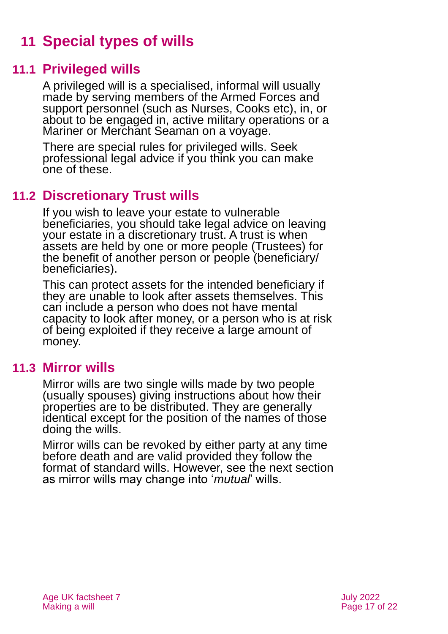## <span id="page-16-0"></span>**11 Special types of wills**

### **11.1 Privileged wills**

A privileged will is a specialised, informal will usually made by serving members of the Armed Forces and support personnel (such as Nurses, Cooks etc), in, or about to be engaged in, active military operations or a Mariner or Merchant Seaman on a voyage.

There are special rules for privileged wills. Seek professional legal advice if you think you can make one of these.

## **11.2 Discretionary Trust wills**

If you wish to leave your estate to vulnerable beneficiaries, you should take legal advice on leaving your estate in a discretionary trust. A trust is when assets are held by one or more people (Trustees) for the benefit of another person or people (beneficiary/ beneficiaries).

This can protect assets for the intended beneficiary if they are unable to look after assets themselves. This can include a person who does not have mental capacity to look after money, or a person who is at risk of being exploited if they receive a large amount of money.

### **11.3 Mirror wills**

Mirror wills are two single wills made by two people (usually spouses) giving instructions about how their properties are to be distributed. They are generally identical except for the position of the names of those doing the wills.

Mirror wills can be revoked by either party at any time before death and are valid provided they follow the format of standard wills. However, see the next section as mirror wills may change into '*mutual*' wills.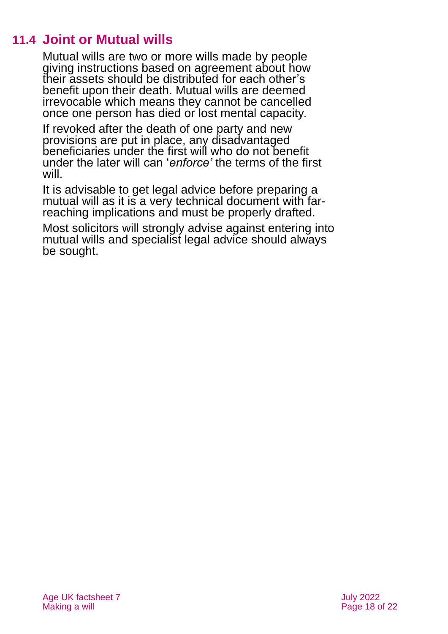## **11.4 Joint or Mutual wills**

Mutual wills are two or more wills made by people giving instructions based on agreement about how their assets should be distributed for each other's benefit upon their death. Mutual wills are deemed irrevocable which means they cannot be cancelled once one person has died or lost mental capacity.

If revoked after the death of one party and new provisions are put in place, any disadvantaged beneficiaries under the first will who do not benefit under the later will can '*enforce'* the terms of the first will.

It is advisable to get legal advice before preparing a mutual will as it is a very technical document with farreaching implications and must be properly drafted.

Most solicitors will strongly advise against entering into mutual wills and specialist legal advice should always be sought.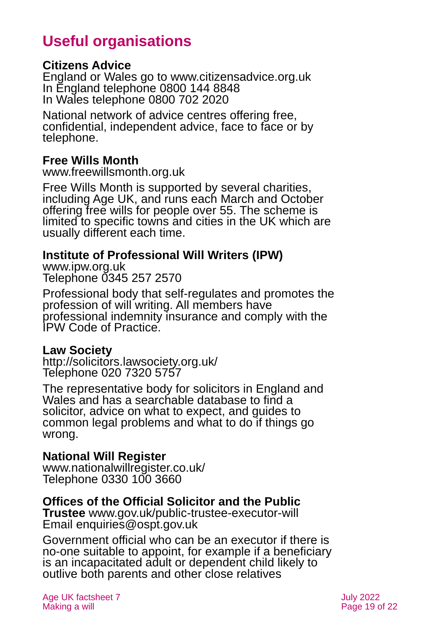## **Useful organisations**

#### <span id="page-18-0"></span>**Citizens Advice**

England or Wales go to [www.citizensadvice.org.uk](http://www.citizensadvice.org.uk/) In England telephone 0800 144 8848 In Wales telephone 0800 702 2020

National network of advice centres offering free, confidential, independent advice, face to face or by telephone.

#### **Free Wills Month**

[www.freewillsmonth.org.uk](http://www.freewillsmonth.org.uk/)

Free Wills Month is supported by several charities, including Age UK, and runs each March and October offering free wills for people over 55. The scheme is limited to specific towns and cities in the UK which are usually different each time.

#### **Institute of Professional Will Writers (IPW)**

[www.ipw.org.uk](http://www.ipw.org.uk/) Telephone 0345 257 2570

Professional body that self-regulates and promotes the profession of will writing. All members have professional indemnity insurance and comply with the IPW Code of Practice.

#### **Law Society**

<http://solicitors.lawsociety.org.uk/> Telephone 020 7320 5757

The representative body for solicitors in England and Wales and has a searchable database to find a solicitor, advice on what to expect, and guides to common legal problems and what to do if things go wrong.

#### **National Will Register**

[www.nationalwillregister.co.uk/](http://www.nationalwillregister.co.uk/) Telephone 0330 100 3660

#### **Offices of the Official Solicitor and the Public**

**Trustee** [www.gov.uk/public-trustee-executor-will](http://www.gov.uk/public-trustee-executor-will) Email [enquiries@ospt.gov.uk](mailto:enquiries@ospt.gov.uk)

Government official who can be an executor if there is no-one suitable to appoint, for example if a beneficiary is an incapacitated adult or dependent child likely to outlive both parents and other close relatives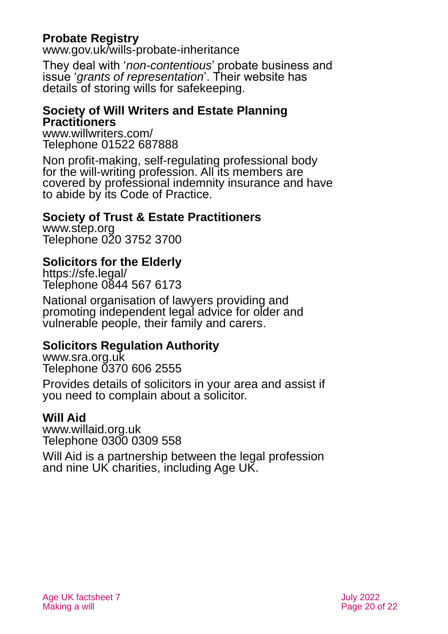### **Probate Registry**

[www.gov.uk/wills-probate-inheritance](http://www.gov.uk/wills-probate-inheritance)

They deal with '*non-contentious*' probate business and issue '*grants of representation*'. Their website has details of storing wills for safekeeping.

#### **Society of Will Writers and Estate Planning Practitioners**

[www.willwriters.com/](http://www.willwriters.com/) Telephone 01522 687888

Non profit-making, self-regulating professional body for the will-writing profession. All its members are covered by professional indemnity insurance and have to abide by its Code of Practice.

#### **Society of Trust & Estate Practitioners**

[www.step.org](http://www.step.org/) Telephone 020 3752 3700

### **Solicitors for the Elderly**

<https://sfe.legal/> Telephone 0844 567 6173

National organisation of lawyers providing and promoting independent legal advice for older and vulnerable people, their family and carers.

### **Solicitors Regulation Authority**

[www.sra.org.uk](http://www.sra.org.uk/) Telephone 0370 606 2555

Provides details of solicitors in your area and assist if you need to complain about a solicitor.

### **Will Aid**

[www.willaid.org.uk](http://www.willaid.org.uk/) Telephone 0300 0309 558

Will Aid is a partnership between the legal profession and nine UK charities, including Age UK.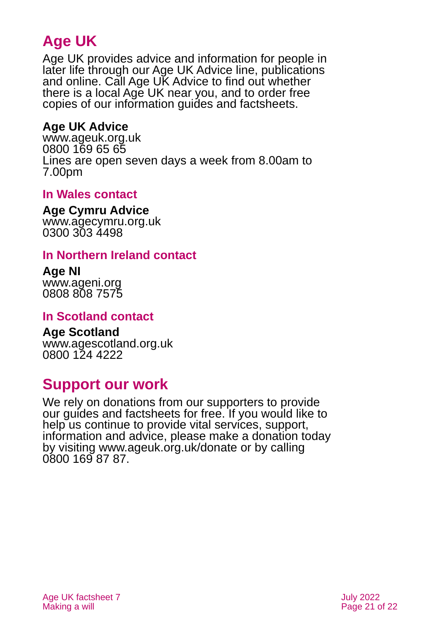## **Age UK**

Age UK provides advice and information for people in later life through our Age UK Advice line, publications and online. Call Age UK Advice to find out whether there is a local Age UK near you, and to order free copies of our information guides and factsheets.

#### <span id="page-20-2"></span>**Age UK Advice**

[www.ageuk.org.uk](http://www.ageuk.org.uk/) 0800 169 65 65 Lines are open seven days a week from 8.00am to 7.00pm

#### <span id="page-20-3"></span>**In Wales contact**

#### **Age Cymru Advice**

[www.agecymru.org.uk](http://www.agecymru.org.uk/) 0300 303 4498

#### <span id="page-20-1"></span>**In Northern Ireland contact**

#### **Age NI** [www.ageni.org](http://www.ageni.org/)

0808 808 7575

#### <span id="page-20-0"></span>**In Scotland contact**

## <span id="page-20-4"></span>**Age Scotland**

[www.agescotland.org.uk](http://www.agescotland.org.uk/) 0800 124 4222

## **Support our work**

We rely on donations from our supporters to provide our guides and factsheets for free. If you would like to help us continue to provide vital services, support, information and advice, please make a donation today by visiting [www.ageuk.org.uk/donate](http://www.ageuk.org.uk/donate) or by calling 0800 169 87 87.